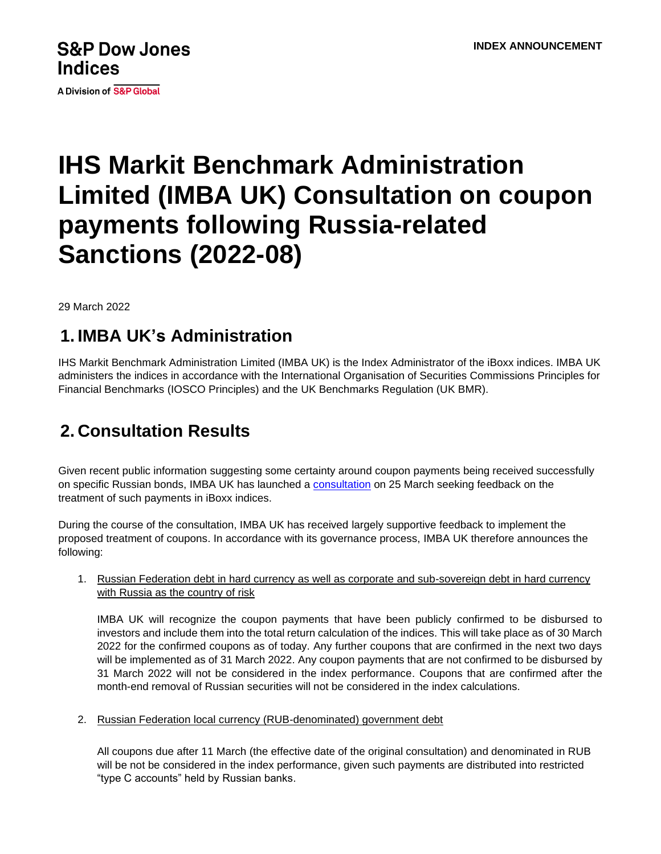# **S&P Dow Jones Indices**

A Division of S&P Global

# **IHS Markit Benchmark Administration Limited (IMBA UK) Consultation on coupon payments following Russia-related Sanctions (2022-08)**

29 March 2022

#### **1. IMBA UK's Administration**

IHS Markit Benchmark Administration Limited (IMBA UK) is the Index Administrator of the iBoxx indices. IMBA UK administers the indices in accordance with the International Organisation of Securities Commissions Principles for Financial Benchmarks (IOSCO Principles) and the UK Benchmarks Regulation (UK BMR).

## **2. Consultation Results**

Given recent public information suggesting some certainty around coupon payments being received successfully on specific Russian bonds, IMBA UK has launched a [consultation](http://www.markit.com/NewsInformation/GetLinkedNews/2532022IHS-Markit-Benchmark-Administration-Limited-IMBA-UK-Consultation-on-coupon-payments-following-Russia-related-Sanctions-2022-08-?Product=IBoxx) on 25 March seeking feedback on the treatment of such payments in iBoxx indices.

During the course of the consultation, IMBA UK has received largely supportive feedback to implement the proposed treatment of coupons. In accordance with its governance process, IMBA UK therefore announces the following:

1. Russian Federation debt in hard currency as well as corporate and sub-sovereign debt in hard currency with Russia as the country of risk

IMBA UK will recognize the coupon payments that have been publicly confirmed to be disbursed to investors and include them into the total return calculation of the indices. This will take place as of 30 March 2022 for the confirmed coupons as of today. Any further coupons that are confirmed in the next two days will be implemented as of 31 March 2022. Any coupon payments that are not confirmed to be disbursed by 31 March 2022 will not be considered in the index performance. Coupons that are confirmed after the month-end removal of Russian securities will not be considered in the index calculations.

2. Russian Federation local currency (RUB-denominated) government debt

All coupons due after 11 March (the effective date of the original consultation) and denominated in RUB will be not be considered in the index performance, given such payments are distributed into restricted "type C accounts" held by Russian banks.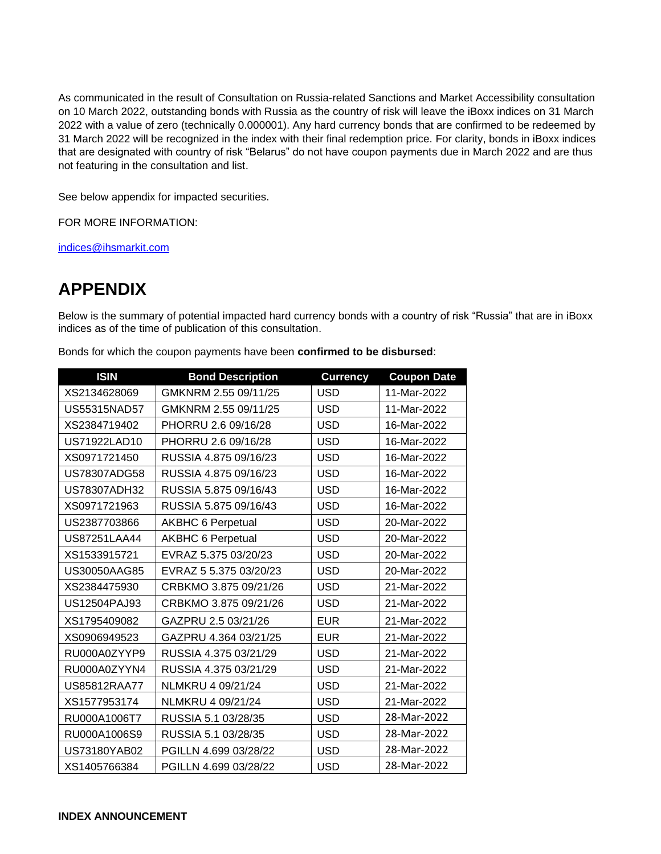As communicated in the result of Consultation on Russia-related Sanctions and Market Accessibility consultation on 10 March 2022, outstanding bonds with Russia as the country of risk will leave the iBoxx indices on 31 March 2022 with a value of zero (technically 0.000001). Any hard currency bonds that are confirmed to be redeemed by 31 March 2022 will be recognized in the index with their final redemption price. For clarity, bonds in iBoxx indices that are designated with country of risk "Belarus" do not have coupon payments due in March 2022 and are thus not featuring in the consultation and list.

See below appendix for impacted securities.

FOR MORE INFORMATION:

[indices@ihsmarkit.com](mailto:indices@ihsmarkit.com)

### **APPENDIX**

Below is the summary of potential impacted hard currency bonds with a country of risk "Russia" that are in iBoxx indices as of the time of publication of this consultation.

| <b>ISIN</b>         | <b>Bond Description</b>  | <b>Currency</b> | <b>Coupon Date</b> |
|---------------------|--------------------------|-----------------|--------------------|
| XS2134628069        | GMKNRM 2.55 09/11/25     | <b>USD</b>      | 11-Mar-2022        |
| US55315NAD57        | GMKNRM 2.55 09/11/25     | <b>USD</b>      | 11-Mar-2022        |
| XS2384719402        | PHORRU 2.6 09/16/28      | <b>USD</b>      | 16-Mar-2022        |
| US71922LAD10        | PHORRU 2.6 09/16/28      | <b>USD</b>      | 16-Mar-2022        |
| XS0971721450        | RUSSIA 4.875 09/16/23    | <b>USD</b>      | 16-Mar-2022        |
| US78307ADG58        | RUSSIA 4.875 09/16/23    | <b>USD</b>      | 16-Mar-2022        |
| US78307ADH32        | RUSSIA 5.875 09/16/43    | <b>USD</b>      | 16-Mar-2022        |
| XS0971721963        | RUSSIA 5.875 09/16/43    | <b>USD</b>      | 16-Mar-2022        |
| US2387703866        | <b>AKBHC 6 Perpetual</b> | <b>USD</b>      | 20-Mar-2022        |
| <b>US87251LAA44</b> | <b>AKBHC 6 Perpetual</b> | <b>USD</b>      | 20-Mar-2022        |
| XS1533915721        | EVRAZ 5.375 03/20/23     | <b>USD</b>      | 20-Mar-2022        |
| US30050AAG85        | EVRAZ 5 5.375 03/20/23   | <b>USD</b>      | 20-Mar-2022        |
| XS2384475930        | CRBKMO 3.875 09/21/26    | <b>USD</b>      | 21-Mar-2022        |
| US12504PAJ93        | CRBKMO 3.875 09/21/26    | <b>USD</b>      | 21-Mar-2022        |
| XS1795409082        | GAZPRU 2.5 03/21/26      | <b>EUR</b>      | 21-Mar-2022        |
| XS0906949523        | GAZPRU 4.364 03/21/25    | <b>EUR</b>      | 21-Mar-2022        |
| RU000A0ZYYP9        | RUSSIA 4.375 03/21/29    | <b>USD</b>      | 21-Mar-2022        |
| RU000A0ZYYN4        | RUSSIA 4.375 03/21/29    | <b>USD</b>      | 21-Mar-2022        |
| US85812RAA77        | NLMKRU 4 09/21/24        | <b>USD</b>      | 21-Mar-2022        |
| XS1577953174        | NLMKRU 4 09/21/24        | <b>USD</b>      | 21-Mar-2022        |
| RU000A1006T7        | RUSSIA 5.1 03/28/35      | <b>USD</b>      | 28-Mar-2022        |
| RU000A1006S9        | RUSSIA 5.1 03/28/35      | <b>USD</b>      | 28-Mar-2022        |
| US73180YAB02        | PGILLN 4.699 03/28/22    | <b>USD</b>      | 28-Mar-2022        |
| XS1405766384        | PGILLN 4.699 03/28/22    | <b>USD</b>      | 28-Mar-2022        |

Bonds for which the coupon payments have been **confirmed to be disbursed**: